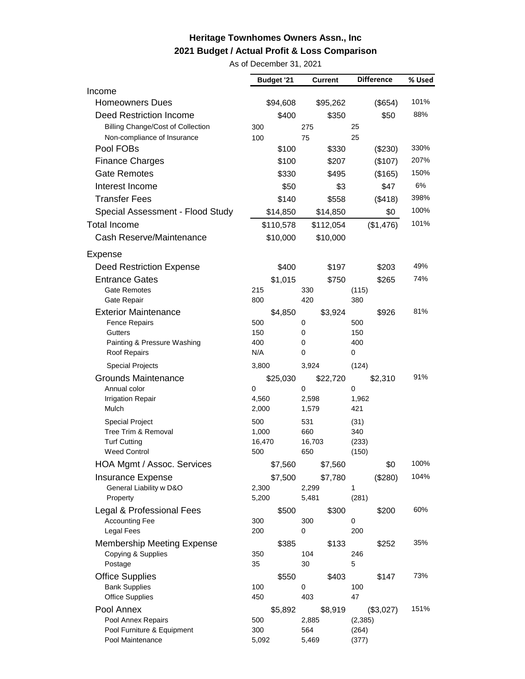## **Heritage Townhomes Owners Assn., Inc 2021 Budget / Actual Profit & Loss Comparison**

As of December 31, 2021

|                                                | <b>Budget '21</b> | <b>Current</b> | <b>Difference</b> | % Used |
|------------------------------------------------|-------------------|----------------|-------------------|--------|
| Income                                         |                   |                |                   |        |
| <b>Homeowners Dues</b>                         | \$94,608          | \$95,262       | (\$654)           | 101%   |
| Deed Restriction Income                        | \$400             | \$350          | \$50              | 88%    |
| <b>Billing Change/Cost of Collection</b>       | 300               | 275            | 25                |        |
| Non-compliance of Insurance                    | 100               | 75             | 25                |        |
| Pool FOBs                                      | \$100             | \$330          | (\$230)           | 330%   |
| <b>Finance Charges</b>                         | \$100             | \$207          | (\$107)           | 207%   |
| <b>Gate Remotes</b>                            | \$330             | \$495          | (\$165)           | 150%   |
| Interest Income                                | \$50              | \$3            | \$47              | 6%     |
| <b>Transfer Fees</b>                           | \$140             | \$558          | (\$418)           | 398%   |
| Special Assessment - Flood Study               | \$14,850          | \$14,850       | \$0               | 100%   |
| <b>Total Income</b>                            | \$110,578         | \$112,054      | (\$1,476)         | 101%   |
| Cash Reserve/Maintenance                       | \$10,000          | \$10,000       |                   |        |
| <b>Expense</b>                                 |                   |                |                   |        |
| <b>Deed Restriction Expense</b>                | \$400             | \$197          | \$203             | 49%    |
| <b>Entrance Gates</b>                          | \$1,015           | \$750          | \$265             | 74%    |
| Gate Remotes                                   | 215               | 330            | (115)             |        |
| Gate Repair                                    | 800               | 420            | 380               |        |
| <b>Exterior Maintenance</b>                    | \$4,850           | \$3,924        | \$926             | 81%    |
| <b>Fence Repairs</b><br><b>Gutters</b>         | 500               | 0              | 500               |        |
| Painting & Pressure Washing                    | 150<br>400        | 0<br>0         | 150<br>400        |        |
| Roof Repairs                                   | N/A               | 0              | $\mathbf 0$       |        |
| <b>Special Projects</b>                        | 3,800             | 3,924          | (124)             |        |
| Grounds Maintenance                            | \$25,030          | \$22,720       | \$2,310           | 91%    |
| Annual color                                   | 0                 | 0              | 0                 |        |
| <b>Irrigation Repair</b>                       | 4,560             | 2,598          | 1,962             |        |
| Mulch                                          | 2,000             | 1,579          | 421               |        |
| <b>Special Project</b>                         | 500               | 531            | (31)              |        |
| Tree Trim & Removal                            | 1,000             | 660            | 340               |        |
| <b>Turf Cutting</b><br><b>Weed Control</b>     | 16,470<br>500     | 16,703<br>650  | (233)<br>(150)    |        |
| HOA Mgmt / Assoc. Services                     | \$7,560           | \$7,560        | \$0               | 100%   |
| <b>Insurance Expense</b>                       | \$7,500           | \$7,780        | (\$280)           | 104%   |
| General Liability w D&O                        | 2,300             | 2,299          | 1                 |        |
| Property                                       | 5,200             | 5,481          | (281)             |        |
| Legal & Professional Fees                      | \$500             | \$300          | \$200             | 60%    |
| <b>Accounting Fee</b>                          | 300               | 300            | 0                 |        |
| <b>Legal Fees</b>                              | 200               | 0              | 200               |        |
| <b>Membership Meeting Expense</b>              | \$385             | \$133          | \$252             | 35%    |
| Copying & Supplies                             | 350               | 104            | 246               |        |
| Postage                                        | 35                | 30             | 5                 |        |
| <b>Office Supplies</b>                         | \$550             | \$403          | \$147             | 73%    |
| <b>Bank Supplies</b><br><b>Office Supplies</b> | 100<br>450        | 0<br>403       | 100<br>47         |        |
| Pool Annex                                     | \$5,892           | \$8,919        | (\$3,027)         | 151%   |
| Pool Annex Repairs                             | 500               | 2,885          | (2, 385)          |        |
| Pool Furniture & Equipment                     | 300               | 564            | (264)             |        |
| Pool Maintenance                               | 5,092             | 5,469          | (377)             |        |